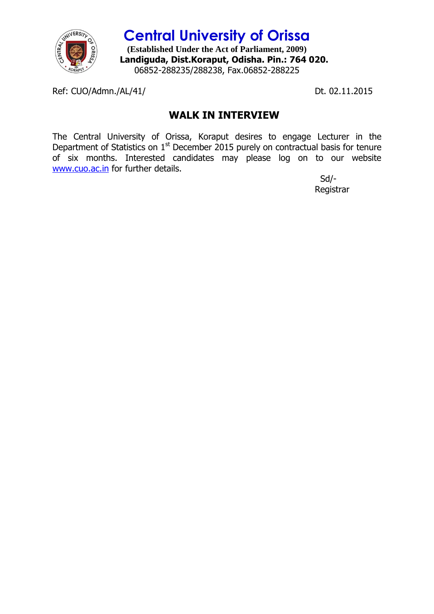

**Central University of Orissa (Established Under the Act of Parliament, 2009) Landiguda, Dist.Koraput, Odisha. Pin.: 764 020.** 06852-288235/288238, Fax.06852-288225

Ref: CUO/Admn./AL/41/ Dt. 02.11.2015

## **WALK IN INTERVIEW**

The Central University of Orissa, Koraput desires to engage Lecturer in the Department of Statistics on  $1<sup>st</sup>$  December 2015 purely on contractual basis for tenure of six months. Interested candidates may please log on to our website [www.cuo.ac.in](http://www.cuo.ac.in/) for further details.

 Sd/- Registrar